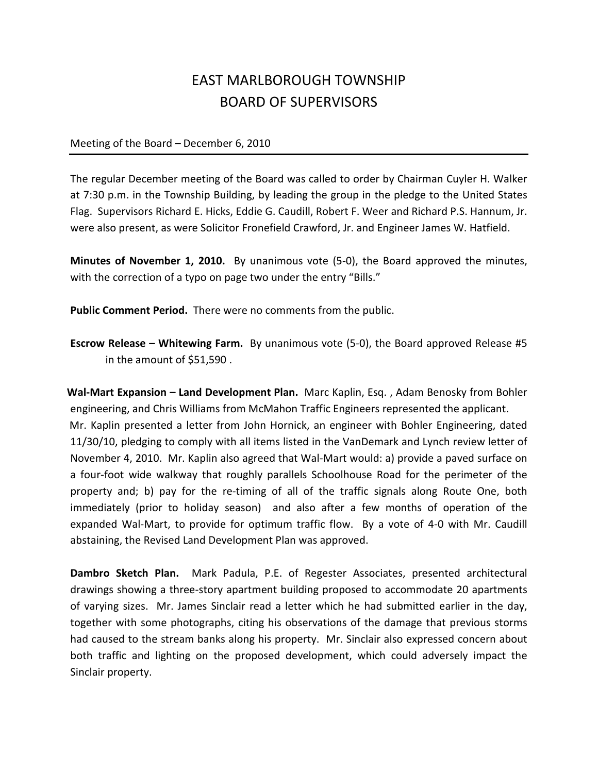## EAST MARLBOROUGH TOWNSHIP BOARD OF SUPERVISORS

Meeting of the Board – December 6, 2010

The regular December meeting of the Board was called to order by Chairman Cuyler H. Walker at 7:30 p.m. in the Township Building, by leading the group in the pledge to the United States Flag. Supervisors Richard E. Hicks, Eddie G. Caudill, Robert F. Weer and Richard P.S. Hannum, Jr. were also present, as were Solicitor Fronefield Crawford, Jr. and Engineer James W. Hatfield.

Minutes of November 1, 2010. By unanimous vote (5-0), the Board approved the minutes, with the correction of a typo on page two under the entry "Bills."

Public Comment Period. There were no comments from the public.

Escrow Release – Whitewing Farm. By unanimous vote (5-0), the Board approved Release #5 in the amount of \$51,590 .

Wal-Mart Expansion – Land Development Plan. Marc Kaplin, Esg., Adam Benosky from Bohler engineering, and Chris Williams from McMahon Traffic Engineers represented the applicant. Mr. Kaplin presented a letter from John Hornick, an engineer with Bohler Engineering, dated 11/30/10, pledging to comply with all items listed in the VanDemark and Lynch review letter of November 4, 2010. Mr. Kaplin also agreed that Wal-Mart would: a) provide a paved surface on a four-foot wide walkway that roughly parallels Schoolhouse Road for the perimeter of the property and; b) pay for the re-timing of all of the traffic signals along Route One, both immediately (prior to holiday season) and also after a few months of operation of the expanded Wal-Mart, to provide for optimum traffic flow. By a vote of 4-0 with Mr. Caudill abstaining, the Revised Land Development Plan was approved.

Dambro Sketch Plan. Mark Padula, P.E. of Regester Associates, presented architectural drawings showing a three-story apartment building proposed to accommodate 20 apartments of varying sizes. Mr. James Sinclair read a letter which he had submitted earlier in the day, together with some photographs, citing his observations of the damage that previous storms had caused to the stream banks along his property. Mr. Sinclair also expressed concern about both traffic and lighting on the proposed development, which could adversely impact the Sinclair property.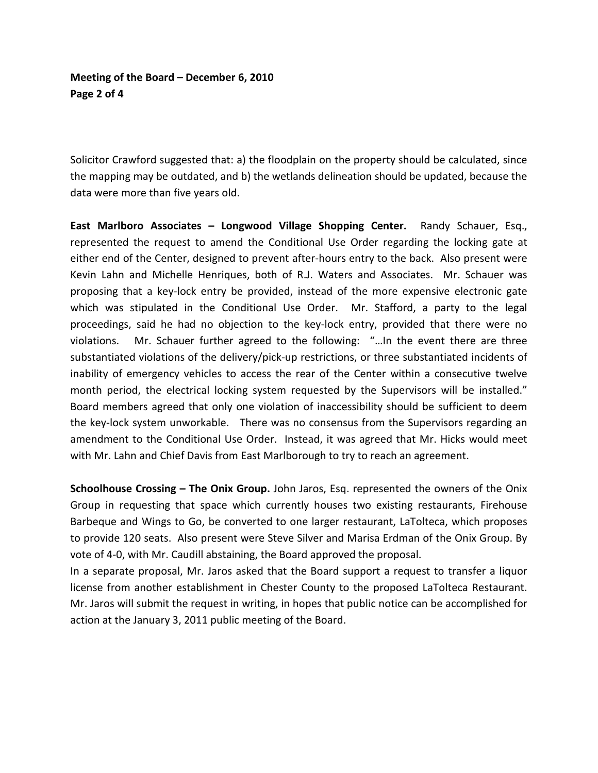## Meeting of the Board – December 6, 2010 Page 2 of 4

Solicitor Crawford suggested that: a) the floodplain on the property should be calculated, since the mapping may be outdated, and b) the wetlands delineation should be updated, because the data were more than five years old.

 East Marlboro Associates – Longwood Village Shopping Center. Randy Schauer, Esq., represented the request to amend the Conditional Use Order regarding the locking gate at either end of the Center, designed to prevent after-hours entry to the back. Also present were Kevin Lahn and Michelle Henriques, both of R.J. Waters and Associates. Mr. Schauer was proposing that a key-lock entry be provided, instead of the more expensive electronic gate which was stipulated in the Conditional Use Order. Mr. Stafford, a party to the legal proceedings, said he had no objection to the key-lock entry, provided that there were no violations. Mr. Schauer further agreed to the following: "…In the event there are three substantiated violations of the delivery/pick-up restrictions, or three substantiated incidents of inability of emergency vehicles to access the rear of the Center within a consecutive twelve month period, the electrical locking system requested by the Supervisors will be installed." Board members agreed that only one violation of inaccessibility should be sufficient to deem the key-lock system unworkable. There was no consensus from the Supervisors regarding an amendment to the Conditional Use Order. Instead, it was agreed that Mr. Hicks would meet with Mr. Lahn and Chief Davis from East Marlborough to try to reach an agreement.

 Schoolhouse Crossing – The Onix Group. John Jaros, Esq. represented the owners of the Onix Group in requesting that space which currently houses two existing restaurants, Firehouse Barbeque and Wings to Go, be converted to one larger restaurant, LaTolteca, which proposes to provide 120 seats. Also present were Steve Silver and Marisa Erdman of the Onix Group. By vote of 4-0, with Mr. Caudill abstaining, the Board approved the proposal.

In a separate proposal, Mr. Jaros asked that the Board support a request to transfer a liquor license from another establishment in Chester County to the proposed LaTolteca Restaurant. Mr. Jaros will submit the request in writing, in hopes that public notice can be accomplished for action at the January 3, 2011 public meeting of the Board.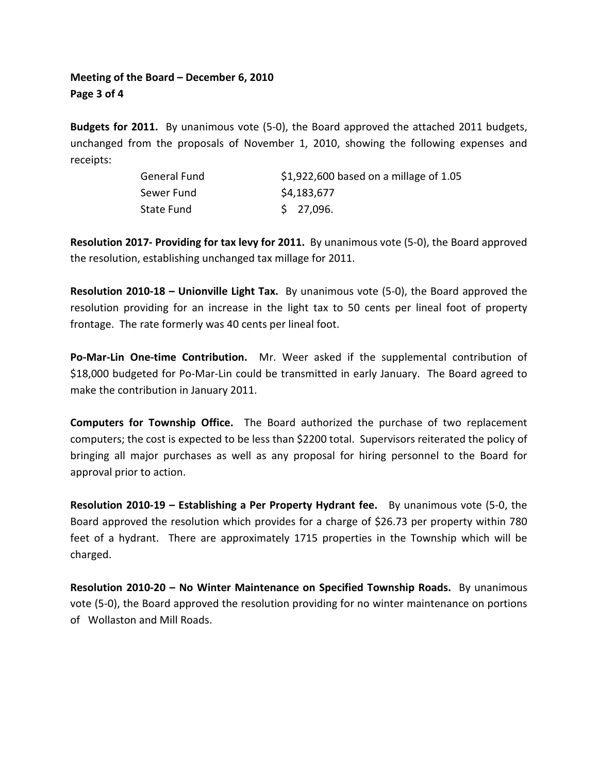## Meeting of the Board – December 6, 2010 Page 3 of 4

Budgets for 2011. By unanimous vote (5-0), the Board approved the attached 2011 budgets, unchanged from the proposals of November 1, 2010, showing the following expenses and receipts:

| General Fund | \$1,922,600 based on a millage of $1.05$ |
|--------------|------------------------------------------|
| Sewer Fund   | \$4,183,677                              |
| State Fund   | \$27,096.                                |

Resolution 2017- Providing for tax levy for 2011. By unanimous vote (5-0), the Board approved the resolution, establishing unchanged tax millage for 2011.

Resolution 2010-18 – Unionville Light Tax. By unanimous vote (5-0), the Board approved the resolution providing for an increase in the light tax to 50 cents per lineal foot of property frontage. The rate formerly was 40 cents per lineal foot.

Po-Mar-Lin One-time Contribution. Mr. Weer asked if the supplemental contribution of \$18,000 budgeted for Po-Mar-Lin could be transmitted in early January. The Board agreed to make the contribution in January 2011.

Computers for Township Office. The Board authorized the purchase of two replacement computers; the cost is expected to be less than \$2200 total. Supervisors reiterated the policy of bringing all major purchases as well as any proposal for hiring personnel to the Board for approval prior to action.

Resolution 2010-19 – Establishing a Per Property Hydrant fee. By unanimous vote (5-0, the Board approved the resolution which provides for a charge of \$26.73 per property within 780 feet of a hydrant. There are approximately 1715 properties in the Township which will be charged.

Resolution 2010-20 – No Winter Maintenance on Specified Township Roads. By unanimous vote (5-0), the Board approved the resolution providing for no winter maintenance on portions of Wollaston and Mill Roads.